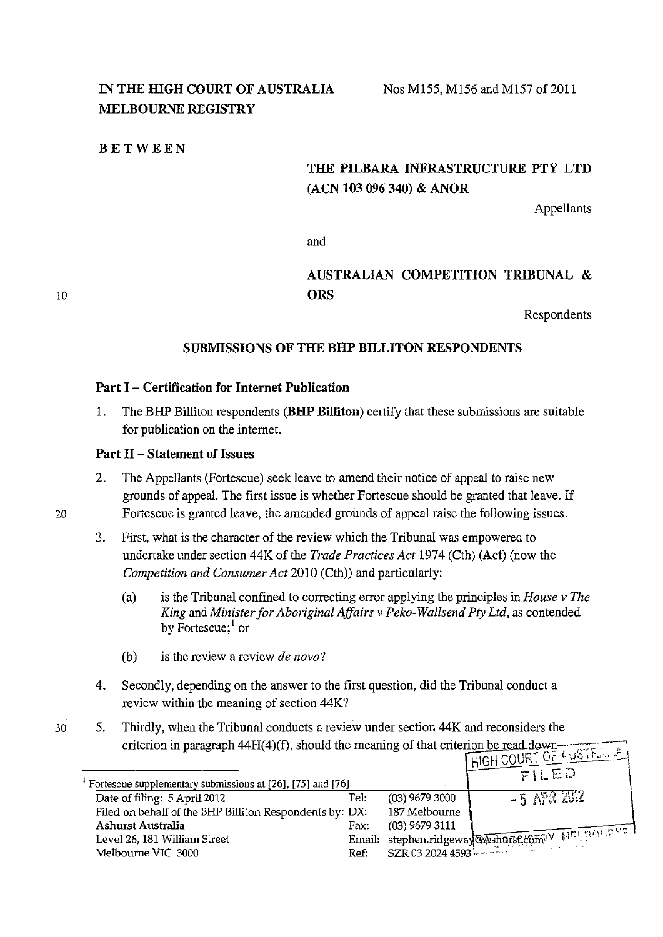## IN THE HIGH COURT OF AUSTRALIA **MELBOURNE REGISTRY**

#### **BETWEEN**

# **THE PILBARA INFRASTRUCTURE PTY LTD (ACN 103 096 340) & ANOR**

Appellants

and

## **AUSTRALIAN COMPETITION TRIBUNAL** & **ORS**

Respondents

## **SUBMISSIONS OF THE BHP BILLITON RESPONDENTS**

#### **Part** I - **Certification for Internet Publication**

1. The BHP Billiton respondents **(BHP Billiton)** certify that these submissions are suitable for publication on the internet.

#### **Part** II - **Statement of Issues**

- 2. The Appellants (Fortescue) seek leave to amend their notice of appeal to raise new grounds of appeal. The first issue is whether Fortescue should be granted that leave. If 20 Fortescue is granted leave, the amended grounds of appeal raise the following issues.
	- 3. First, what is the character of the review which the Tribunal was empowered to undertake under section 44K of the *Trade Practices Act* 1974 (Cth) **(Act)** (now the *Competition and Consumer Act* 2010 (Cth)) and particularly:
		- (a) is the Tribunal confined to correcting error applying the principles in *House v The King and Minister for Aboriginal Affairs v Peko-Wallsend Pty Ltd, as contended* by Fortescue;<sup>1</sup> or
		- (b) is the review a review *de novo?*
	- 4. Secondly, depending on the answer to the first question, did the Tribunal conduct a review within the meaning of section 44K?
- 30 5. Thirdly, when the Tribunal conducts a review under section 44K and reconsiders the criterion in paragraph 44H(4)(f), should the meaning of that criterion be read down

| Fortescue supplementary submissions at [26], [75] and [76] |      |                  | HIGH <u>WUNT OF FE</u><br>FILED                 |
|------------------------------------------------------------|------|------------------|-------------------------------------------------|
| Date of filing: 5 April 2012                               | Tel: | $(03)$ 9679 3000 | $-5$ APR 2012                                   |
|                                                            |      |                  |                                                 |
| Filed on behalf of the BHP Billiton Respondents by: DX:    |      | 187 Melbourne    |                                                 |
| Ashurst Australia                                          | Fax: | (03) 9679 3111   |                                                 |
| Level 26, 181 William Street                               |      |                  |                                                 |
| Melbourne VIC 3000                                         |      |                  | Email: stephen.ridgeway@Ashurst&om? V MELBOURNE |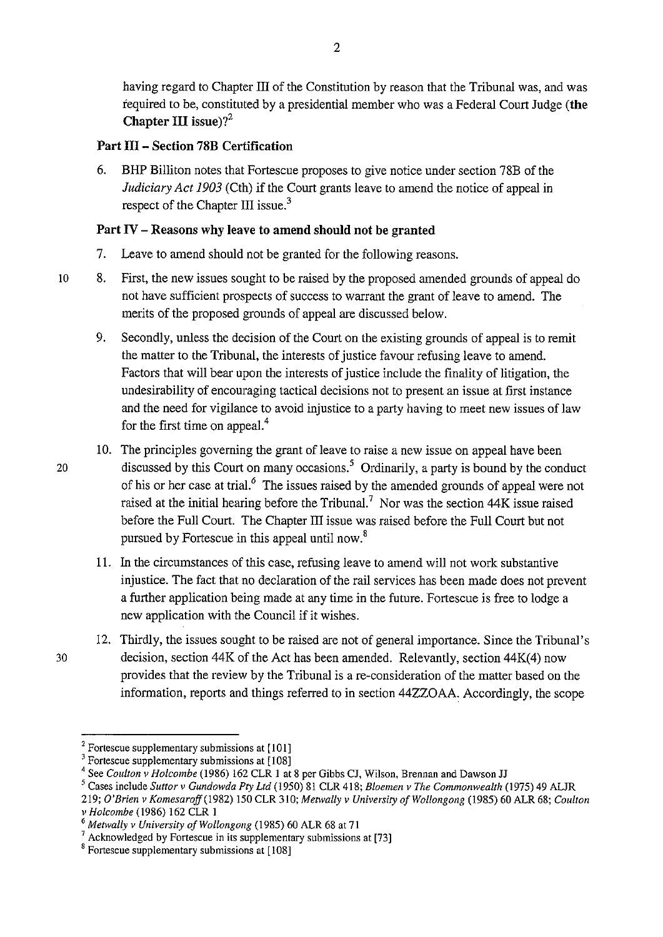having regard to Chapter III of the Constitution by reason that the Tribunal was, and was required to be, constituted by a presidential member who was a Federal Court Judge (the Chapter III issue)? $2^2$ 

## Part III - Section 78B Certification

6. BHP Billiton notes that Fortescue proposes to give notice under section 78B of the *Judiciary Act 1903* (Cth) if the Court grants leave to amend the notice of appeal in respect of the Chapter III issue.<sup>3</sup>

## Part IV - Reasons why leave to amend should not be granted

- 7. Leave to amend should not be granted for the following reasons.
- 10 8. First, the new issues sought to be raised by the proposed amended grounds of appeal do not have sufficient prospects of success to warrant the grant of leave to amend. The merits of the proposed grounds of appeal are discussed below.
	- 9. Secondly, unless the decision of the Court on the existing grounds of appeal is to remit the matter to the Tribunal, the interests of justice favour refusing leave to amend. Factors that will bear upon the interests of justice include the finality of litigation, the undesirability of encouraging tactical decisions not to present an issue at first instance and the need for vigilance to avoid injustice to a party having to meet new issues of law for the first time on appeal.<sup>4</sup>
- 10. The principles governing the grant of leave to raise a new issue on appeal have been 20 discussed by this Court on many occasions.<sup>5</sup> Ordinarily, a party is bound by the conduct of his or her case at trial.<sup>6</sup> The issues raised by the amended grounds of appeal were not raised at the initial hearing before the Tribunal.<sup>7</sup> Nor was the section  $44K$  issue raised before the Full Court. The Chapter III issue was raised before the Full Court but not pursued by Fortescue in this appeal until now. 8
	- 11. In the circumstances of this case, refusing leave to amend will not work substantive injustice. The fact that no declaration of the rail services has been made does not prevent a further application being made at any time in the future. Fortescue is free to lodge a new application with the Council if it wishes.
- 12. Thirdly, the issues sought to be raised are not of general importance. Since the Tribunal's 30 decision, section 44K of the Act has been amended. Relevantly, section 44K(4) now provides that the review by the Tribunal is a re-consideration of the matter based on the information, reports and things referred to in section 44ZZOAA Accordingly, the scope

 $2$  Fortescue supplementary submissions at  $[101]$ 

<sup>&</sup>lt;sup>3</sup> Fortescue supplementary submissions at [108]

<sup>4</sup> See *Coulton v Holcombe* (1986) 162 CLR I at 8 per Gibbs CJ, Wilson, Brennan and Dawson JJ

<sup>5</sup> Cases include *Suttor v Gundowda Pty Ltd* (1950) 81 CLR 418; *Bloemen v The Commonwealth* (1975) 49 ALJR

<sup>219;</sup> *O'Brien v Komesaroff* (1982) 150 CLR 310; *Metwally v University of Wollongong* (1985) 60 ALR 68; *Coulton v Holcombe* (1986) 162 CLR 1

<sup>&</sup>lt;sup>6</sup> Metwally *v University of Wollongong* (1985) 60 ALR 68 at 71 <sup>7</sup> Acknowledged by Fortescue in its supplementary submissions at [73]

<sup>8</sup> Fortescue supplementary submissions at [I 08]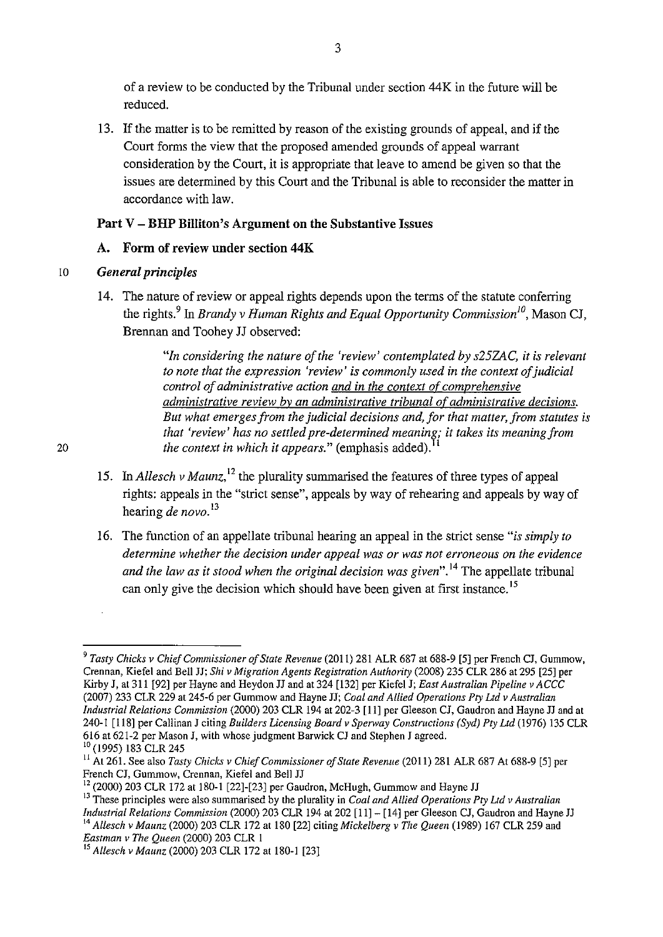of a review to be conducted by the Tribunal under section 44K in the future will be reduced.

13. If the matter is to be remitted by reason of the existing grounds of appeal, and if the Court forms the view that the proposed amended grounds of appeal warrant consideration by the Court, it is appropriate that leave to amend be given so that the issues are determined by this Court and the Tribunal is able to reconsider the matter in accordance with law.

## Part V - BHP Billiton's Argument on the Substantive Issues

## A. Form of review under section 44K

## 10 *General principles*

20

14. The nature of review or appeal rights depends upon the terms of the statute conferring the rights.<sup>9</sup> In *Brandy v Human Rights and Equal Opportunity Commission*<sup>10</sup>, Mason CJ, Brennan and Toohey JJ observed:

> *"In considering the nature of the 'review' contemplated by s25ZAC, it is relevant to note that the expression 'review' is commonly used in the context of judicial control of administrative action and in the context of comprehensive administrative review by an administrative tribunal of administrative decisions. But what emerges from the judicial decisions and, for that matter, from statutes is*  that 'review' has no settled pre-determined meaning; it takes its meaning from *the context in which it appears.*" (emphasis added).

- 15. In *Allesch v Maunz*,<sup>12</sup> the plurality summarised the features of three types of appeal rights: appeals in the "strict sense", appeals by way of rehearing and appeals by way of hearing *de novo*.<sup>13</sup>
- 16. The function of an appellate tribunal hearing an appeal in the strict sense *"is simply to determine whether the decision under appeal was or was not erroneous on the evidence and the law as it stood when the original decision was given*".<sup>14</sup> The appellate tribunal can only give the decision which should have been given at first instance.<sup>15</sup>

<sup>9</sup>*Tasty Chicks v Chief Commissioner of State Revenue* (2011) 281 ALR 687 at 688-9 [5] per French CJ, Gummow, Crennan, Kiefel and Bell JJ; *Shiv Migration Agents Registration Authority* (2008) 235 CLR 286 at 295 [25] per Kirby J, at 311 [92] per Hayne and Heydon JJ and at 324 [132] per Kiefel J; *East Australian Pipeline v ACCC*  (2007) 233 CLR 229 at 245-6 per Gummow and Hayne JJ; *Coal and Allied Operations Pty Ltd v Australian Industrial Relations Commission* (2000) 203 CLR 194 at 202-3 [II] per Gleeson CJ, Gaudron and Hayne JJ and at 240-1 [ 118] per Callinan J citing *Builders Licensing Board v Sperway Constructions (Syd) Pty Ltd* (1976) 135 CLR 616 at 621-2 per Mason J, with whose judgment Barwick CJ and Stephen J agreed. 10 (1995) 183 CLR 245

<sup>11</sup>At 261. See also *Tasty Chicks v Chief Commissioner of State Revenue* (20 II) 281 ALR 687 At 688-9 [5] per French CJ, Gummow, Crennan, Kiefel and Bell JJ

 $12$  (2000) 203 CLR 172 at 180-1 [22]-[23] per Gaudron, McHugh, Gummow and Hayne JJ

<sup>&</sup>lt;sup>13</sup> These principles were also summarised by the plurality in *Coal and Allied Operations Pty Ltd v Australian*<br>*Industrial Relations Commission* (2000) 203 CLR 194 at 202 [11] – [14] per Gleeson CJ, Gaudron and Hayne JJ <sup>14</sup> Allesch v Maunz (2000) 203 CLR 172 at 180 [22] citing Mickelberg v The Queen (1989) 167 CLR 259 and *Eastman v The Queen* (2000) 203 CLR I

<sup>15</sup>*Allesch v Maunz* (2000) 203 CLR 172 at 180-1 [23]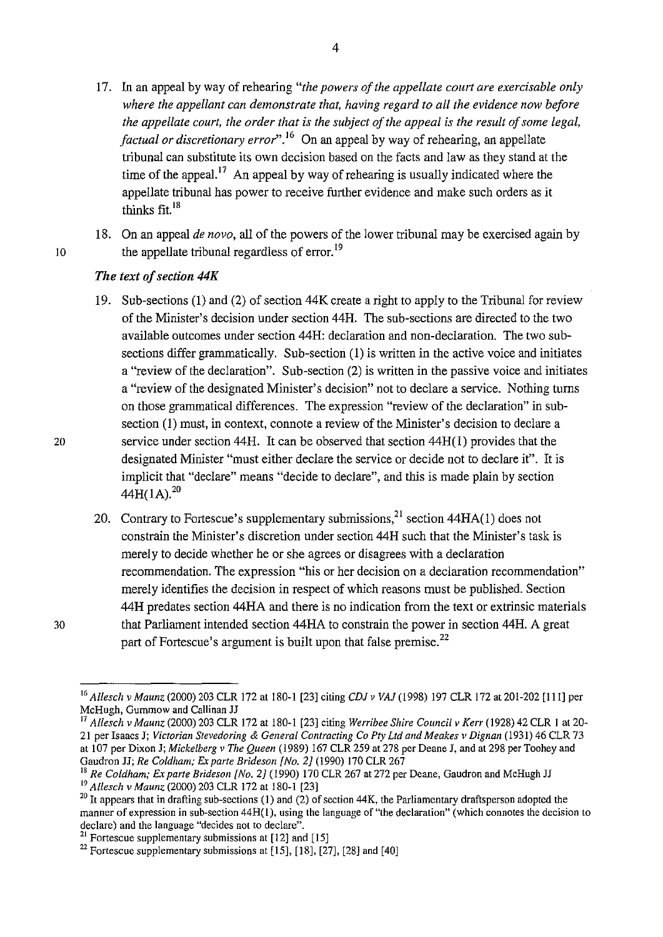- 17. In an appeal by way of rehearing *"the powers of the appellate court are exercisable only where the appellant can demonstrate that, having regard to all the evidence now before the appellate court, the order that is the subject of the appeal is the result of some legal, factual or discretionary error*".<sup>16</sup> On an appeal by way of rehearing, an appellate tribunal can substitute its own decision based on the facts and law as they stand at the time of the appeal.<sup>17</sup> An appeal by way of rehearing is usually indicated where the appellate tribunal has power to receive further evidence and make such orders as it thinks fit. <sup>18</sup>
- 18. On an appeal *de novo,* all of the powers of the lower tribunal may be exercised again by 10 the appellate tribunal regardless of error.<sup>19</sup>

#### *The text of section* **44K**

- 19. Sub-sections (1) and (2) of section 44K create a right to apply to the Tribunal for review of the Minister's decision under section 44H. The sub-sections are directed to the two available outcomes under section 44H: declaration and non-declaration. The two subsections differ grammatically. Sub-section (1) is written in the active voice and initiates a "review of the declaration". Sub-section (2) is written in the passive voice and initiates a "review of the designated Minister's decision" not to declare a service. Nothing turns on those grammatical differences. The expression "review of the declaration" in subsection (1) must, in context, connote a review of the Minister's decision to declare a service under section 44H. It can be observed that section 44H(l) provides that the designated Minister "must either declare the service or decide not to declare it". It is implicit that "declare" means "decide to declare", and this is made plain by section  $44H(1A).^{20}$
- 20. Contrary to Fortescue's supplementary submissions,  $2^1$  section 44HA(1) does not constrain the Minister's discretion under section 44H such that the Minister's task is merely to decide whether he or she agrees or disagrees with a declaration recommendation. The expression "his or her decision on a declaration recommendation" merely identifies the decision in respect of which reasons must be published. Section 44H predates section 44HA and there is no indication from the text or extrinsic materials that Parliament intended section 44HA to constrain the power in section 44H. A great part of Fortescue's argument is built upon that false premise.<sup>22</sup>

<sup>16</sup>*Allesch v Maunz* (2000) 203 CLR 172 at 180-1 [23] citing *CDJ v VAJ* (1998) 197 CLR 172 at 201-202 [l11] per McHugh, Gummow and Callinan JJ

<sup>17</sup>*Allesch v Maunz* (2000) 203 CLR 172 at 180-1 [23] citing *Werribee Shire Council v Kerr* (1928) 42 CLR 1 at 20- 21 per Isaacs J; *Victorian Stevedoring* & *General Contracting Co Pty Ltd and Meakes v Dignan* (1931) 46 CLR 73 at 107 per Dixon J; *Micke/berg v The Queen* (1989) 167 CLR 259 at 278 per Deane J, and at 298 per Toohey and Gaudron JJ; *Re Co/dham; Ex parte Brideson [No.2]* (1990) 170 CLR 267

<sup>18</sup>*Re Coldham; Ex parte Brideson [No.2]* (1990) 170 CLR 267 at 272 per Deane, Gaudron and McHugh JJ <sup>19</sup> Allesch v Maunz (2000) 203 CLR 172 at 180-1 [23]

 $20$  It appears that in drafting sub-sections (1) and (2) of section 44K, the Parliamentary draftsperson adopted the **manner of expression in sub-section 44H(l), using the language of "the declaration" (which connotes the decision to**  declare) and the language "decides not to declare".

 $21$  Fortescue supplementary submissions at [12] and [15]

<sup>&</sup>lt;sup>22</sup> Fortescue supplementary submissions at  $[15]$ ,  $[18]$ ,  $[27]$ ,  $[28]$  and  $[40]$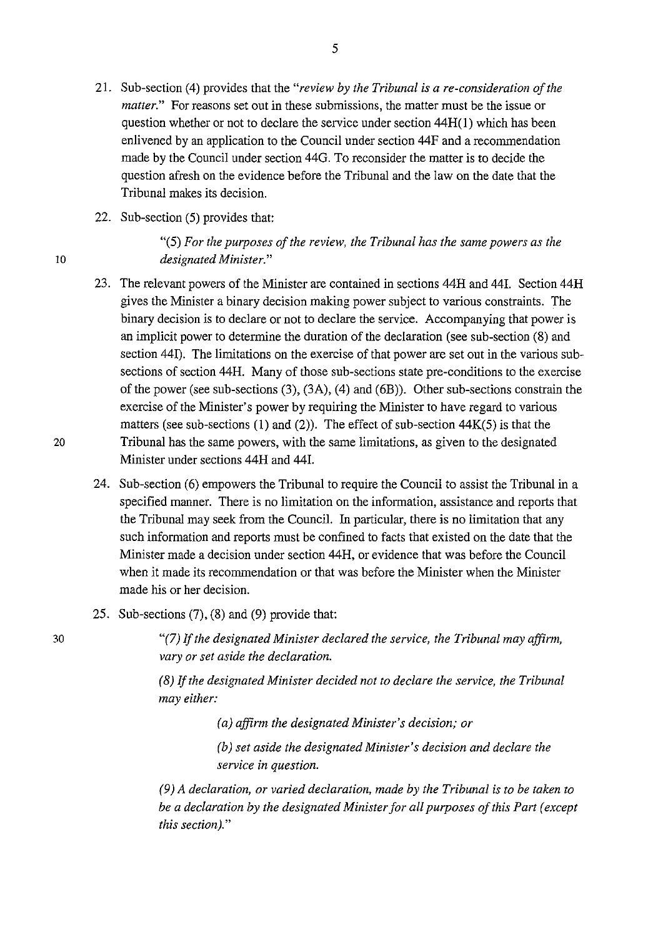- 21. Sub-section (4) provides that the *"review by the Tribunal is a re-consideration of the matter."* For reasons set out in these submissions, the matter must be the issue or question whether or not to declare the service under section **44H(l)** which has been enlivened by an application to the Council under section 44F and a recommendation made by the Council under section 44G. To reconsider the matter is to decide the question afresh on the evidence before the Tribunal and the law on the date that the Tribunal makes its decision.
- 22. Sub-section (5) provides that:

"(5) *For the purposes of the review, the Tribunal has the same powers as the*  10 *designated Minister."* 

- 23. The relevant powers of the Minister are contained in sections 44H and 441. Section 44H gives the Minister a binary decision making power subject to various constraints. The binary decision is to declare or not to declare the service. Accompanying that power is an implicit power to determine the duration of the declaration (see sub-section (8) and section 441). The limitations on the exercise of that power are set out in the various subsections of section 44H. Many of those sub-sections state pre-conditions to the exercise of the power (see sub-sections (3), (3A), (4) and (6B)). Other sub-sections constrain the exercise of the Minister's power by requiring the Minister to have regard to various matters (see sub-sections  $(1)$  and  $(2)$ ). The effect of sub-section  $44K(5)$  is that the 20 Tribunal has the same powers, with the same limitations, as given to the designated Minister under sections 44H and 441.
	- 24. Sub-section (6) empowers the Tribunal to require the Council to assist the Tribunal in a specified manner. There is no limitation on the information, assistance and reports that the Tribunal may seek from the Council. In particular, there is no limitation that any such information and reports must be confined to facts that existed on the date that the Minister made a decision under section 44H, or evidence that was before the Council when it made its recommendation or that was before the Minister when the Minister made his or her decision.
	- 25. Sub-sections (7), (8) and (9) provide that:

*"(7)* 1f *the designated Minister declared the service, the Tribunal may affinn, vary or set aside the declaration.* 

*(8)* 1f *the designated Minister decided not to declare the service, the Tribunal may either:* 

*(a) affinn the designated Minister's decision; or* 

*(b) set aside the designated Minister's decision and declare the service in question.* 

*(9) A declaration, or varied declaration, made by the Tribunal is to be taken to be a declaration by the designated Minister for all purposes of this Part (except this section)."*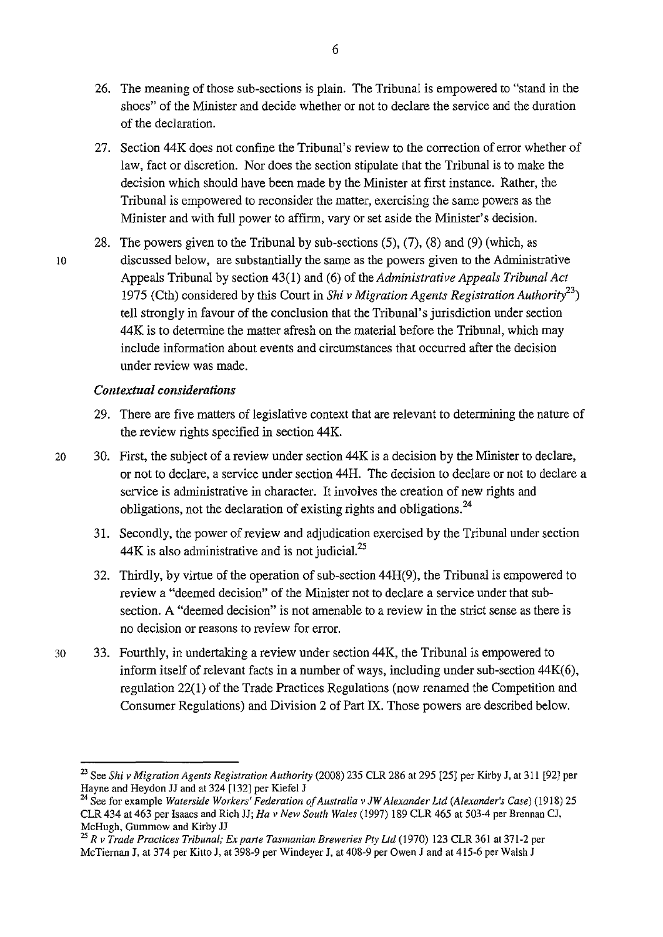- 26. The meaning of those sub-sections is plain. The Tribunal is empowered to "stand in the shoes'' of the Minister and decide whether or not to declare the service and the duration of the declaration.
- 27. Section 44K does not confine the Tribunal's review to the correction of error whether of law, fact or discretion. Nor does the section stipulate that the Tribunal is to make the decision which should have been made by the Minister at first instance. Rather, the Tribunal is empowered to reconsider the matter, exercising the same powers as the Minister and with full power to affirm, vary or set aside the Minister's decision.
- 28. The powers given to the Tribunal by sub-sections (5), (7), (8) and (9) (which, as 10 discussed below, are substantially the same as the powers given to the Administrative Appeals Tribunal by section 43( 1) and ( 6) of the *Administrative Appeals Tribunal Act*  1975 (Cth) considered by this Court in *Shiv Migration Agents Registration Authority<sup>23</sup> )*  tell strongly in favour of the conclusion that the Tribunal's jurisdiction under section 44K is to determine the matter afresh on the material before the Tribunal, which may include information about events and circumstances that occurred after the decision under review was made.

## *Contextual considerations*

29. There are five matters of legislative context that are relevant to determining the nature of the review rights specified in section 44K.

20 30. First, the subject of a review under section 44K is a decision by the Minister to declare, or not to declare, a service under section 44H. The decision to declare or not to declare a service is administrative in character. It involves the creation of new rights and obligations, not the declaration of existing rights and obligations.<sup>24</sup>

- 31. Secondly, the power of review and adjudication exercised by the Tribunal under section  $44K$  is also administrative and is not judicial.<sup>25</sup>
- 32. Thirdly, by virtue of the operation of sub-section 44H(9), the Tribunal is empowered to review a "deemed decision" of the Minister not to declare a service under that subsection. A "deemed decision" is not amenable to a review in the strict sense as there is no decision or reasons to review for error.
- 30 33. Fourthly, in undertaking a review under section 44K, the Tribunal is empowered to inform itself of relevant facts in a number of ways, including under sub-section 44K(6), regulation 22(1) of the Trade Practices Regulations (now renamed the Competition and Consumer Regulations) and Division 2 of Part IX. Those powers are described below.

<sup>23</sup> See *Shiv Migration Agents Registration Authority* (2008) 235 CLR 286 at 295 [25] per Kirby J, at 311 [92] per Hayne and Heydon JJ and at 324 [132] per Kiefel J

<sup>&</sup>lt;sup>24</sup> See for example *Waterside Workers' Federation of Australia v JW Alexander Ltd (Alexander's Case)* (1918) 25 CLR 434 at 463 per Isaacs and Rich JJ; *Ha v New South Wales* (1997) 189 CLR 465 at 503-4 per Brennan CJ, McHugh, Gummow and Kirby JJ 25 *R v Trade Practices Tribunal; Ex parte Tasmanian Breweries Pty Ltd* (1970) 123 CLR 361 at 371-2 per

McTiernan J, at 374 per Kitto J, at 398-9 per Windeyer J, at 408-9 per Owen J and at 415-6 per Walsh J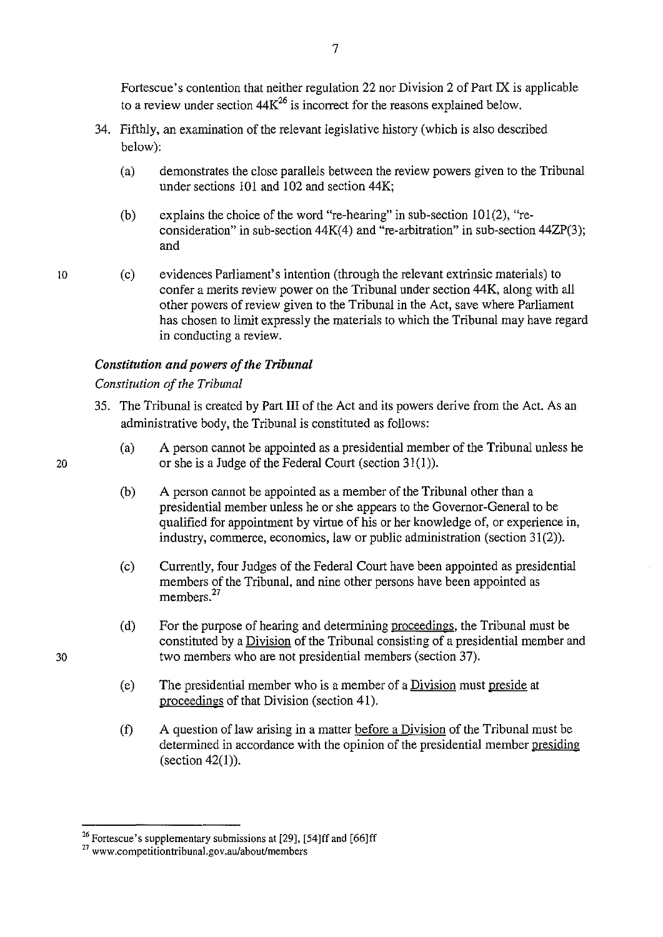Fortescue's contention that neither regulation 22 nor Division 2 of Part IX is applicable to a review under section  $44K^{26}$  is incorrect for the reasons explained below.

- 34. Fifthly, an examination of the relevant legislative history (which is also described below):
	- (a) demonstrates the close parallels between the review powers given to the Tribunal under sections 101 and 102 and section 44K;
	- (b) explains the choice of the word "re-hearing" in sub-section  $101(2)$ , "reconsideration" in sub-section  $44K(4)$  and "re-arbitration" in sub-section  $44ZP(3)$ ; and
	- (c) evidences Parliament's intention (through the relevant extrinsic materials) to confer a merits review power on the Tribunal under section 44K, along with all other powers of review given to the Tribunal in the Act, save where Parliament has chosen to limit expressly the materials to which the Tribunal may have regard in conducting a review.

## *Constitution and powers of the Tribunal*

## *Constitution of the Tribunal*

- 35. The Tribunal is created by Part III of the Act and its powers derive from the Act. As an administrative body, the Tribunal is constituted as follows:
	- (a) A person cannot be appointed as a presidential member of the Tribunal unless he or she is a Judge of the Federal Court (section 31(1)).
	- (b) A person cannot be appointed as a member of the Tribunal other than a presidential member unless he or she appears to the Governor-General to be qualified for appointment by virtue of his or her knowledge of, or experience in, industry, commerce, economics, law or public administration (section 31(2)).
	- (c) Currently, four Judges of the Federal Court have been appointed as presidential members of the Tribunal, and nine other persons have been appointed as members.<sup>27</sup>
	- (d) For the purpose of hearing and determining proceedings, the Tribunal must be constituted by a Division of the Tribunal consisting of a presidential member and two members who are not presidential members (section 37).
	- (e) The presidential member who is a member of a Division must preside at proceedings of that Division (section 41).
	- (f) A question of law arising in a matter before a Division of the Tribunal must be determined in accordance with the opinion of the presidential member presiding (section 42(1)).

10

20

<sup>&</sup>lt;sup>26</sup> Fortescue's supplementary submissions at [29], [54]ff and [66]ff

<sup>27</sup>**www.competitiontribunal.gov.au/aboutlmembers**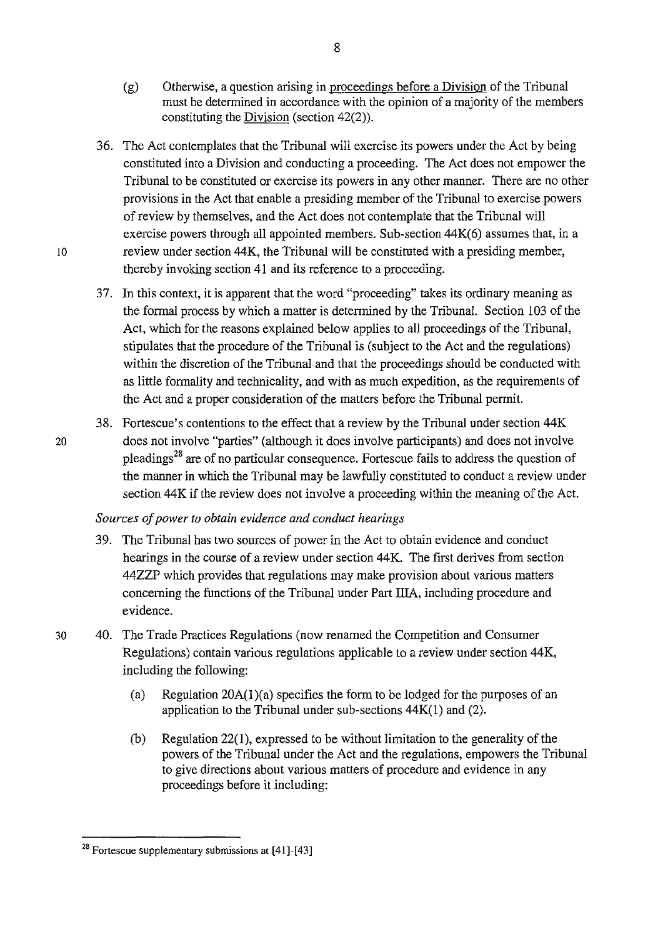- (g) Otherwise, a question arising in proceedings before a Division of the Tribunal must be determined in accordance with the opinion of a majority of the members constituting the Division (section 42(2)).
- 36. The Act contemplates that the Tribunal will exercise its powers under the Act by being constituted into a Division and conducting a proceeding. The Act does not empower the Tribunal to be constituted or exercise its powers in any other manner. There are no other provisions in the Act that enable a presiding member of the Tribunal to exercise powers of review by themselves, and the Act does not contemplate that the Tribunal will exercise powers through all appointed members. Sub-section 44K(6) assumes that, in a 10 review under section 44 K, the Tribunal will be constituted with a presiding member, thereby invoking section 41 and its reference to a proceeding.
	- 37. In this context, it is apparent that the word "proceeding" takes its ordinary meaning as the formal process by which a matter is determined by the Tribunal. Section 103 of the Act, which for the reasons explained below applies to all proceedings of the Tribunal, stipulates that the procedure of the Tribunal is (subject to the Act and the regulations) within the discretion of the Tribunal and that the proceedings should be conducted with as little formality and technicality, and with as much expedition, as the requirements of the Act and a proper consideration of the matters before the Tribunal permit.
- 38. Fortescue's contentions to the effect that a review by the Tribunal under section 44K 20 does not involve "parties" (although it does involve participants) and does not involve pleadings28 are of no particular consequence. Fortescue fails to address the question of the manner in which the Tribunal may be lawfully constituted to conduct a review under section 44K if the review does not involve a proceeding within the meaning of the Act.

### *Sources of power to obtain evidence and conduct hearings*

- 39. The Tribunal has two sources of power in the Act to obtain evidence and conduct hearings in the course of a review under section 44K. The first derives from section 44ZZP which provides that regulations may make provision about various matters concerning the functions of the Tribunal under Part IliA, including procedure and evidence.
- 30 40. The Trade Practices Regulations (now renamed the Competition and Consumer Regulations) contain various regulations applicable to a review under section 44K, including the following:
	- (a) Regulation 20A(l)(a) specifies the form to be lodged for the purposes of an application to the Tribunal under sub-sections  $44K(1)$  and  $(2)$ .
	- (b) Regulation  $22(1)$ , expressed to be without limitation to the generality of the powers of the Tribunal under the Act and the regulations, empowers the Tribunal to give directions about various matters of procedure and evidence in any proceedings before it including:

<sup>&</sup>lt;sup>28</sup> Fortescue supplementary submissions at  $[41]$ - $[43]$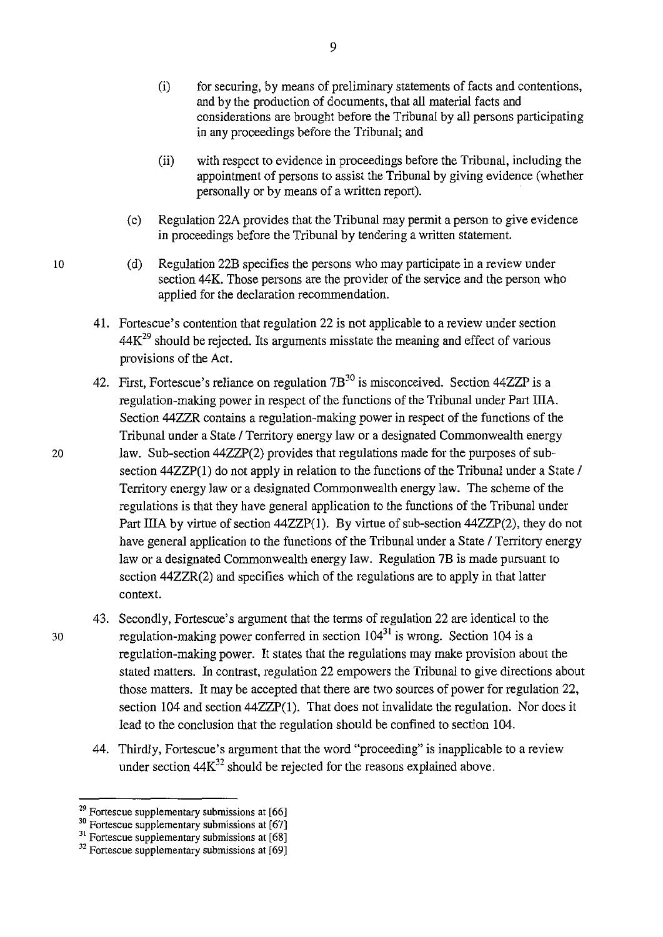- (i) for securing, by means of preliminary statements of facts and contentions, and by the production of documents, that all material facts and considerations are brought before the Tribunal by all persons participating in any proceedings before the Tribunal; and
- (ii) with respect to evidence in proceedings before the Tribunal, including the appointment of persons to assist the Tribunal by giving evidence (whether personally or by means of a written report).
- (c) Regulation 22A provides that the Tribunal may permit a person to give evidence in proceedings before the Tribunal by tendering a written statement.
- (d) Regulation 22B specifies the persons who may participate in a review under section 44K. Those persons are the provider of the service and the person who applied for the declaration recommendation.
- 41. Fortescue's contention that regulation 22 is not applicable to a review under section  $44K<sup>29</sup>$  should be rejected. Its arguments misstate the meaning and effect of various provisions of the Act.
- 42. First, Fortescue's reliance on regulation  $7B^{30}$  is misconceived. Section 44ZZP is a regulation-making power in respect of the functions of the Tribunal under Part IliA. Section 44ZZR contains a regulation-making power in respect of the functions of the Tribunal under a State / Territory energy law or a designated Commonwealth energy 20 law. Sub-section 44ZZP(2) provides that regulations made for the purposes of subsection 44ZZP(1) do not apply in relation to the functions of the Tribunal under a State / Territory energy law or a designated Commonwealth energy law. The scheme of the regulations is that they have general application to the functions of the Tribunal under Part IIIA by virtue of section 44ZZP(1). By virtue of sub-section 44ZZP(2), they do not have general application to the functions of the Tribunal under a State / Territory energy law or a designated Commonwealth energy law. Regulation 7B is made pursuant to section 44ZZR(2) and specifies which of the regulations are to apply in that latter context.
- 43. Secondly, Fortescue's argument that the terms of regulation 22 are identical to the 30 regulation-making power conferred in section  $104^{31}$  is wrong. Section 104 is a regulation-making power. It states that the regulations may make provision about the stated matters. In contrast, regulation 22 empowers the Tribunal to give directions about those matters. It may be accepted that there are two sources of power for regulation 22, section 104 and section 44ZZP(l). That does not invalidate the regulation. Nor does it lead to the conclusion that the regulation should be confined to section 104.
	- 44. Thirdly, Fortescue's argument that the word "proceeding" is inapplicable to a review under section  $44K^{32}$  should be rejected for the reasons explained above.

 $29$  Fortescue supplementary submissions at [66]

<sup>&</sup>lt;sup>30</sup> Fortescue supplementary submissions at [67]<br><sup>30</sup> Fortescue supplementary submissions at [67]

 $31$  Fortescue supplementary submissions at [68]

 $32$  Fortescue supplementary submissions at [69]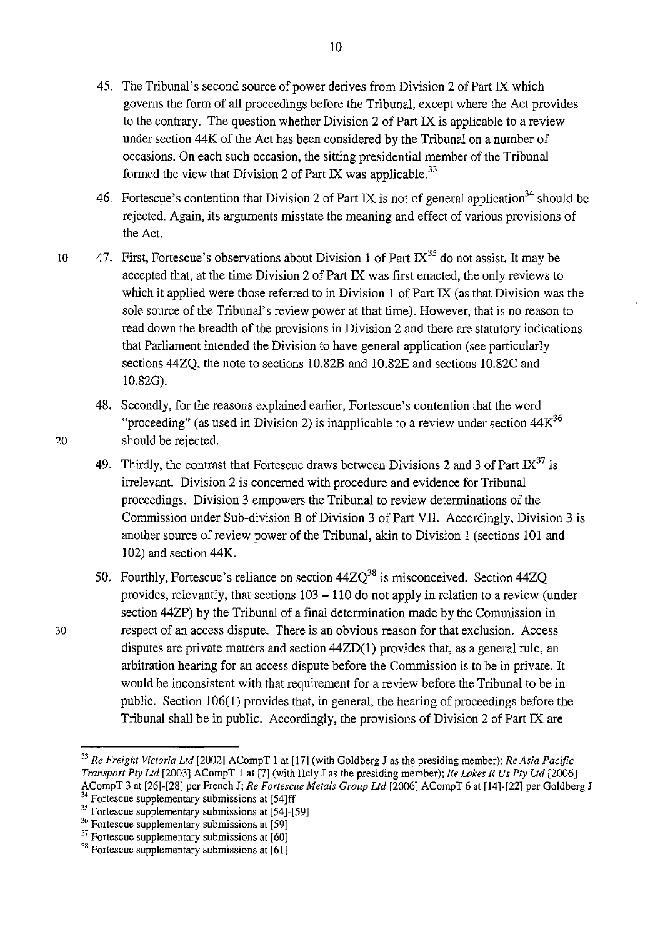- 45. The Tribunal's second source of power derives from Division 2 of Part IX which governs the form of all proceedings before the Tribunal, except where the Act provides to the contrary. The question whether Division 2 of Part IX is applicable to a review under section 44K of the Act has been considered by the Tribunal on a number of occasions. On each such occasion, the sitting presidential member of the Tribunal formed the view that Division 2 of Part IX was applicable.<sup>33</sup>
- 46. Fortescue's contention that Division 2 of Part IX is not of general application<sup>34</sup> should be rejected. Again, its arguments misstate the meaning and effect of various provisions of the Act.
- 10 47. First, Fortescue's observations about Division 1 of Part  $IX^{35}$  do not assist. It may be accepted that, at the time Division 2 of Part IX was first enacted, the only reviews to which it applied were those referred to in Division 1 of Part IX (as that Division was the sole source of the Tribunal's review power at that time). However, that is no reason to read down the breadth of the provisions in Division 2 and there are statutory indications that Parliament intended the Division to have general application (see particularly sections 44ZQ, the note to sections 10.82B and 10.82E and sections 10.82C and 10.82G).
- 48. Secondly, for the reasons explained earlier, Fortescue's contention that the word "proceeding" (as used in Division 2) is inapplicable to a review under section  $44<sup>36</sup>$ 20 should be rejected.
	- 49. Thirdly, the contrast that Fortescue draws between Divisions 2 and 3 of Part  $IX^{37}$  is irrelevant. Division 2 is concerned with procedure and evidence for Tribunal proceedings. Division 3 empowers the Tribunal to review determinations of the Commission under Sub-division B of Division 3 of Part VII. Accordingly, Division 3 is another source of review power of the Tribunal, akin to Division 1 (sections 101 and 102) and section 44K.
- 50. Fourthly, Fortescue's reliance on section  $44ZQ^{38}$  is misconceived. Section  $44ZQ$ provides, relevantly, that sections  $103 - 110$  do not apply in relation to a review (under section 44ZP) by the Tribunal of a final determination made by the Commission in 30 respect of an access dispute. There is an obvious reason for that exclusion. Access disputes are private matters and section 44ZD(1) provides that, as a general rule, an arbitration hearing for an access dispute before the Commission is to be in private. It would be inconsistent with that requirement for a review before the Tribunal to be in public. Section  $106(1)$  provides that, in general, the hearing of proceedings before the Tribunal shall be in public. Accordingly, the provisions of Division 2 of Part IX are

<sup>33</sup>*Re Freight Victoria Ltd* [2002] ACompT I at [17] (with Goldberg J as the presiding member); *Re Asia Pacific Transport Pty Ltd* [2003] ACompT I at [7] (with Hely J as the presiding member); *Re Lakes R Us Pty Ltd* [2006] ACompT 3 at [26]-[28] per French J; *Re Fortescue Metals Group Ltd* [2006] ACompT 6 at [14]-[22] per Goldberg J <sup>34</sup> Fortescue supplementary submissions at [54]ff

<sup>&</sup>lt;sup>35</sup> Fortescue supplementary submissions at [54]-[59]

<sup>36</sup> Fortescue supplementary submissions at [59]

 $37$  Fortescue supplementary submissions at [60]

 $38$  Fortescue supplementary submissions at [61]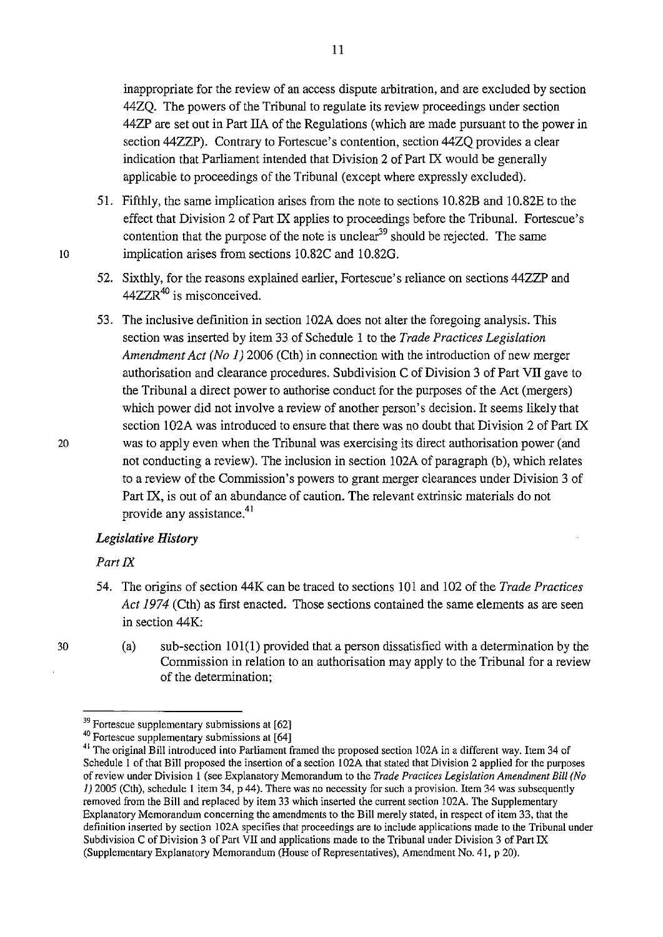inappropriate for the review of an access dispute arbitration, and are excluded by section 44ZQ. The powers of the Tribunal to regulate its review proceedings under section 44ZP are set out in Part IIA of the Regulations (which are made pursuant to the power in section 44ZZP). Contrary to Fortescue's contention, section 44ZQ provides a clear indication that Parliament intended that Division 2 of Part IX would be generally applicable to proceedings of the Tribunal (except where expressly excluded).

- 51. Fifthly, the same implication arises from the note to sections 10.82B and 10.82E to the effect that Division 2 of Part IX applies to proceedings before the Tribunal. Fortescue's contention that the purpose of the note is unclear<sup>39</sup> should be rejected. The same 10 implication arises from sections 10.82C and 10.820.
	- 52. Sixthly, for the reasons explained earlier, Fortescue's reliance on sections 44ZZP and 44ZZR<sup>40</sup> is misconceived.
	- 53. The inclusive definition in section 102A does not alter the foregoing analysis. This section was inserted by item 33 of Schedule 1 to the *Trade Practices Legislation Amendment Act (No 1)* 2006 (Cth) in connection with the introduction of new merger authorisation and clearance procedures. Subdivision C of Division 3 of Part VII gave to the Tribunal a direct power to authorise conduct for the purposes of the Act (mergers) which power did not involve a review of another person's decision. It seems likely that section 102A was introduced to ensure that there was no doubt that Division 2 of Part IX was to apply even when the Tribunal was exercising its direct authorisation power (and not conducting a review). The inclusion in section 102A of paragraph (b), which relates to a review of the Commission's powers to grant merger clearances under Division 3 of Part IX, is out of an abundance of caution. The relevant extrinsic materials do not provide any assistance.<sup>41</sup>

### *Legislative History*

### *Part IX*

54. The origins of section 44K can be traced to sections 101 and 102 of the *Trade Practices Act 1974* (Cth) as first enacted. Those sections contained the same elements as are seen in section 44K:

(a) sub-section  $101(1)$  provided that a person dissatisfied with a determination by the Commission in relation to an authorisation may apply to the Tribunal for a review of the determination;

<sup>&</sup>lt;sup>39</sup> Fortescue supplementary submissions at [62]

<sup>40</sup> Fortescue supplementary submissions at [64]

<sup>&</sup>lt;sup>41</sup> The original Bill introduced into Parliament framed the proposed section 102A in a different way. Item 34 of Schedule 1 of that Bill proposed the insertion of a section 102A that stated that Division 2 applied for the purposes of review under Division I (see Explanatory Memorandum to the *Trade Practices Legislation Amendment Bill (No*  1) 2005 (Cth), schedule I item 34, p 44). There was no necessity for such a provision. Item 34 was subsequently removed from the Bill and replaced by item 33 which inserted the current section 102A. The Supplementary Explanatory Memorandum concerning the amendments to the Bill merely stated, in respect of item 33, that the definition inserted by section 102A specifies that proceedings are to include applications made to the Tribunal under Subdivision C of Division 3 of Part VII and applications made to the Tribunal under Division 3 of Part IX (Supplementary Explanatory Memorandum (House of Representatives), Amendment No. 41, p 20).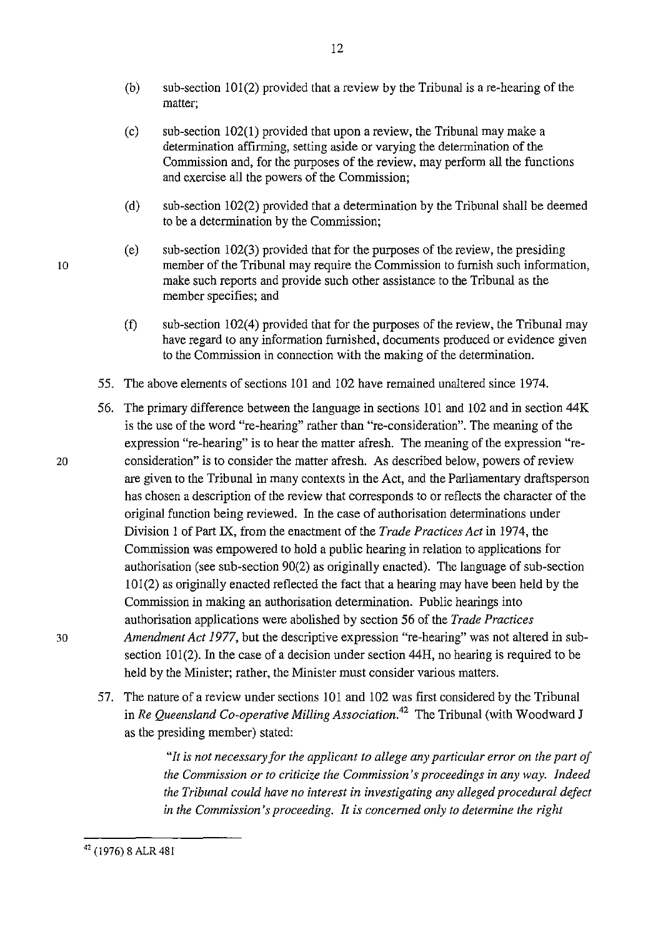(b) sub-section 101(2) provided that a review by the Tribunal is a re-hearing of the matter;

12

- (c) sub-section 102(1) provided that upon a review, the Tribunal may make a determination affirming, setting aside or varying the determination of the Commission and, for the purposes of the review, may perform all the functions and exercise all the powers of the Commission;
- (d) sub-section 102(2) provided that a determination by the Tribunal shall be deemed to be a determination by the Commission;
- (e) sub-section 102(3) provided that for the purposes of the review, the presiding member of the Tribunal may require the Commission to furnish such information, make such reports and provide such other assistance to the Tribunal as the member specifies; and
- (f) sub-section 102(4) provided that for the purposes of the review, the Tribunal may have regard to any information furnished, documents produced or evidence given to the Commission in connection with the making of the determination.
- 55. The above elements of sections 101 and 102 have remained unaltered since 1974.
- 56. The primary difference between the language in sections 101 and 102 and in section 44K is the use of the word "re-hearing" rather than "re-consideration". The meaning of the expression "re-hearing" is to hear the matter afresh. The meaning of the expression "re-20 consideration" is to consider the matter afresh. As described below, powers of review are given to the Tribunal in many contexts in the Act, and the Parliamentary draftsperson has chosen a description of the review that corresponds to or reflects the character of the original function being reviewed. In the case of authorisation determinations under Division 1 of Part IX, from the enactment of the *Trade Practices Act* in 1974, the Commission was empowered to hold a public hearing in relation to applications for authorisation (see sub-section 90(2) as originally enacted). The language of sub-section 101(2) as originally enacted reflected the fact that a hearing may have been held by the Commission in making an authorisation determination. Public hearings into authorisation applications were abolished by section 56 of the *Trade Practices*  30 *Amendment Act 1977,* but the descriptive expression "re-hearing" was not altered in subsection 101(2). In the case of a decision under section 44H, no hearing is required to be held by the Minister; rather, the Minister must consider various matters.
	- 57. The nature of a review under sections 101 and 102 was first considered by the Tribunal in *Re Queensland Co-operative Milling Association.42* The Tribunal (with Woodward J as the presiding member) stated:

*"It is not necessary for the applicant to allege any particular error on the part of the Commission or to criticize the Commission's proceedings in any way. Indeed the Tribunal could have no interest in investigating any alleged procedural defect in the Commission's proceeding. It is concerned only to determine the right* 

10

42 (1976) 8 ALR 481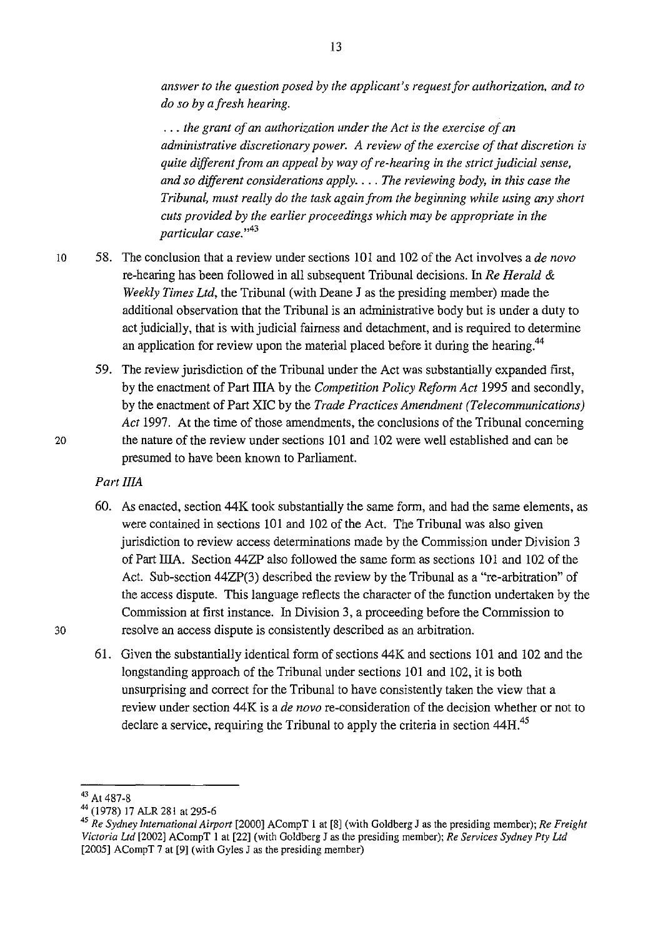*answer to the question posed by the applicant's request for authorization, and to do so by afresh hearing .* 

. . . *the grant of an authorization under the Act is the exercise of an administrative discretionary power. A review of the exercise of that discretion* is *quite different from an appeal by way of re-hearing* in *the strict judicial sense, and so different considerations apply .* ... *The reviewing body, in this case the Tribunal, must really do the task again from the beginning while using any short cuts provided by the earlier proceedings which may be appropriate* in *the particular case.* " 43

- 10 58. The conclusion that a review under sections 101 and 102 of the Act involves a *de novo*  re-hearing has been followed in all subsequent Tribunal decisions. In *Re Herald* & *Weekly Times Ltd,* the Tribunal (with Deane J as the presiding member) made the additional observation that the Tribunal is an administrative body but is under a duty to act judicially, that is with judicial fairness and detachment, and is required to determine an application for review upon the material placed before it during the hearing.<sup>44</sup>
- 59. The review jurisdiction of the Tribunal under the Act was substantially expanded first, by the enactment of Part IllA by the *Competition Policy Reform Act* 1995 and secondly, by the enactment of Part XIC by the *Trade Practices Amendment (Telecommunications) Act* 1997. At the time of those amendments, the conclusions of the Tribunal concerning 20 the nature of the review under sections 101 and 102 were well established and can be presumed to have been known to Parliament.

### *Part IliA*

- 60. As enacted, section 44K took substantially the same form, and had the same elements, as were contained in sections 101 and 102 of the Act. The Tribunal was also given jurisdiction to review access determinations made by the Commission under Division 3 of Part IITA. Section 44ZP also followed the same form as sections 101 and 102 of the Act. Sub-section 44ZP(3) described the review by the Tribunal as a "re-arbitration" of the access dispute. This language reflects the character of the function undertaken by the Commission at first instance. In Division 3, a proceeding before the Commission to 30 resolve an access dispute is consistently described as an arbitration.
	- 61. Given the substantially identical form of sections 44K and sections 101 and 102 and the longstanding approach of the Tribunal under sections 101 and 102, it is both unsurprising and correct for the Tribunal to have consistently taken the view that a review under section 44 K is a *de novo* re-consideration of the decision whether or not to declare a service, requiring the Tribunal to apply the criteria in section 44H.<sup>45</sup>

<sup>&</sup>lt;sup>43</sup> At 487-8<br><sup>44</sup> (1978) 17 ALR 281 at 295-6<br><sup>45</sup> *Re Sydney International Airport* [2000] ACompT 1 at [8] (with Goldberg J as the presiding member); *Re Freight Victoria Ltd* [2002] ACompT I at [22] (with Goldberg J as the presiding member); *Re Services Sydney Pty Ltd*  [2005] ACompT 7 at [9] (with Gyles J as the presiding member)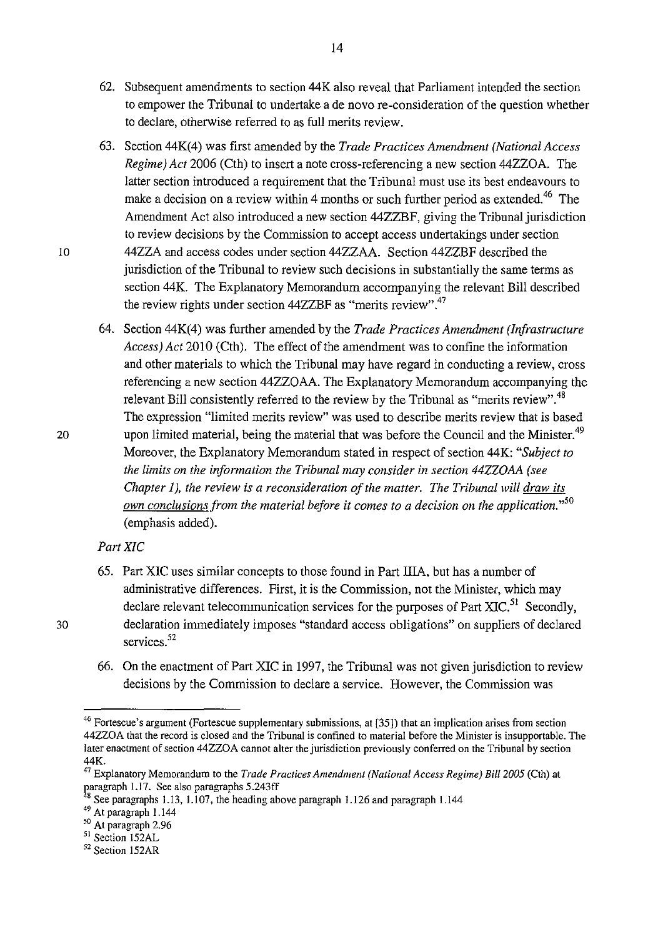- 62. Subsequent amendments to section 44K also reveal that Parliament intended the section to empower the Tribunal to undertake a de novo re-consideration of the question whether to declare, otherwise referred to as full merits review.
- 63. Section 44K(4) was first amended by the *Trade Practices Amendment (National Access Regime) Act* 2006 (Cth) to insert a note cross-referencing a new section 44ZZOA. The latter section introduced a requirement that the Tribunal must use its best endeavours to make a decision on a review within 4 months or such further period as extended.<sup>46</sup> The Amendment Act also introduced a new section 44ZZBF, giving the Tribunal jurisdiction to review decisions by the Commission to accept access undertakings under section 44ZZA and access codes under section 44ZZAA. Section 44ZZBF described the jurisdiction of the Tribunal to review such decisions in substantially the same terms as section 44K. The Explanatory Memorandum accompanying the relevant Bill described the review rights under section 44ZZBF as "merits review".<sup>47</sup>
- 64. Section 44K(4) was further amended by the *Trade Practices Amendment (Infrastructure Access) Act* 2010 (Cth). The effect of the amendment was to confine the information and other materials to which the Tribunal may have regard in conducting a review, cross referencing a new section 44ZZOAA. The Explanatory Memorandum accompanying the relevant Bill consistently referred to the review by the Tribunal as "merits review".<sup>48</sup> The expression "limited merits review" was used to describe merits review that is based upon limited material, being the material that was before the Council and the Minister.<sup>49</sup> Moreover, the Explanatory Memorandum stated in respect of section 44K: *"Subject to the limits on the information the Tribunal may consider in section 44ZZOAA (see Chapter 1), the review is a reconsideration of the matter. The Tribunal will draw its own conclusions from the material before it comes to a decision on the application.* " 50 (emphasis added).

### *PartXIC*

- 65. Part XIC uses similar concepts to those found in Part IliA, but has a number of administrative differences. First, it is the Commission, not the Minister, which may declare relevant telecommunication services for the purposes of Part XIC.<sup>51</sup> Secondly, declaration immediately imposes "standard access obligations" on suppliers of declared services.<sup>52</sup>
- 66. On the enactment of Part XIC in 1997, the Tribunal was not given jurisdiction to review decisions by the Commission to declare a service. However, the Commission was

<sup>46</sup> Fortescue's argument (Fortescue supplementary submissions, at [35]) that an implication arises from section 44ZZOA that the record is closed and the Tribunal is confined to material before the Minister is insupportable. The later enactment of section 44ZZOA cannot alter the jurisdiction previously conferred on the Tribunal by section 44K.

<sup>47</sup>Explanatory Memorandum to the *Trade Practices Amendment (National Access Regime) Bill2005* (Cth) at paragraph 1.17. See also paragraphs 5.243ff

 $48$  See paragraphs 1.13, 1.107, the heading above paragraph 1.126 and paragraph 1.144

 $^{49}$  At paragraph 1.144<br> $^{50}$  At paragraph 2.96

<sup>51</sup> Section 152AL

<sup>52</sup> Section 152AR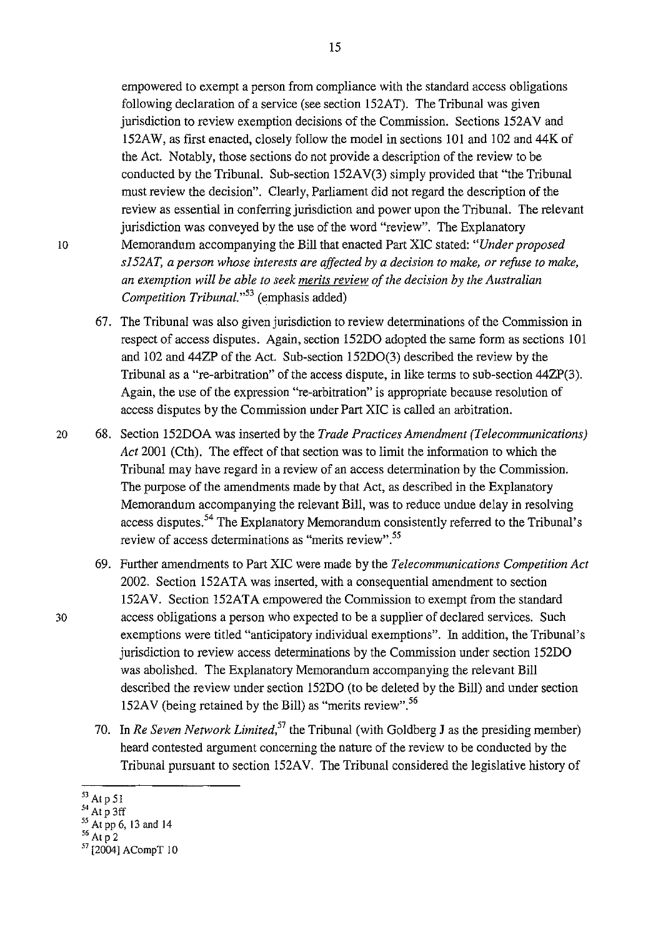empowered to exempt a person from compliance with the standard access obligations following declaration of a service (see section 152AT). The Tribunal was given jurisdiction to review exemption decisions of the Commission. Sections 152AV and 152AW, as first enacted, closely follow the model in sections 101 and 102 and 44K of the Act. Notably, those sections do not provide a description of the review to be conducted by the Tribunal. Sub-section 152A V(3) simply provided that "the Tribunal must review the decision". Clearly, Parliament did not regard the description of the review as essential in conferring jurisdiction and power upon the Tribunal. The relevant jurisdiction was conveyed by the use of the word "review". The Explanatory 10 Memorandum accompanying the Bill that enacted Part XIC stated: *"Under proposed sl52AT, a person whose interests are affected by a decision to make, or refuse to make, an exemption will be able to seek merits review of the decision by the Australian Competition Tribunal.*<sup>53</sup> (emphasis added)

- 67. The Tribunal was also given jurisdiction to review determinations of the Commission in respect of access disputes. Again, section 152DO adopted the same form as sections 101 and 102 and 44ZP of the Act. Sub-section 152D0(3) described the review by the Tribunal as a "re-arbitration" of the access dispute, in like terms to sub-section 44ZP(3). Again, the use of the expression "re-arbitration" is appropriate because resolution of access disputes by the Commission under Part XIC is called an arbitration.
- 20 68. Section 152DOA was inserted by the *Trade Practices Amendment (Telecommunications) Act* 2001 (Cth). The effect of that section was to limit the information to which the Tribunal may have regard in a review of an access determination by the Commission. The purpose of the amendments made by that Act, as described in the Explanatory Memorandum accompanying the relevant Bill, was to reduce undue delay in resolving access disputes.<sup>54</sup> The Explanatory Memorandum consistently referred to the Tribunal's review of access determinations as "merits review".<sup>55</sup>
- 69. Further amendments to Part XIC were made by the *Telecommunications Competition Act*  2002. Section 152ATA was inserted, with a consequential amendment to section !52AV. Section 152ATA empowered the Commission to exempt from the standard 30 access obligations a person who expected to be a supplier of declared services. Such exemptions were titled "anticipatory individual exemptions". In addition, the Tribunal's jurisdiction to review access determinations by the Commission under section 152DO was abolished. The Explanatory Memorandum accompanying the relevant Bill described the review under section 152DO (to be deleted by the Bill) and under section 152AV (being retained by the Bill) as "merits review".<sup>56</sup>
	- 70. In *Re Seven Network Limited*,<sup>57</sup> the Tribunal (with Goldberg J as the presiding member) heard contested argument concerning the nature of the review to be conducted by the Tribunal pursuant to section 152AV. The Tribunal considered the legislative history of

<sup>53</sup> Atp51

 $^{54}$  At p 3ff

 $^{55}$  At pp 6, 13 and 14<br> $^{56}$  At p 2

<sup>&</sup>lt;sup>57</sup> [2004] ACompT 10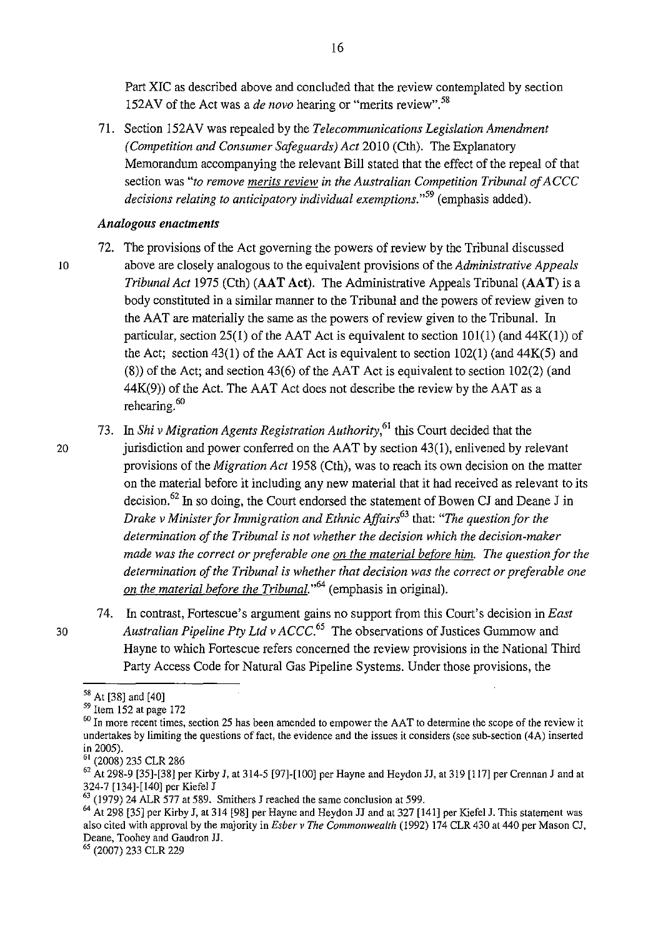Part XIC as described above and concluded that the review contemplated by section 152AV of the Act was a *de novo* hearing or "merits review". <sup>58</sup>

71. Section 152A V was repealed by the *Telecommunications Legislation Amendment (Competition and Consumer Safeguards) Act* 2010 (Cth). The Explanatory Memorandum accompanying the relevant Bill stated that the effect of the repeal of that section was *"to remove merits review in the Australian Competition Tribunal of ACCC decisions relating to anticipatory individual exemptions.*"<sup>59</sup> (emphasis added).

#### *Analogous enactments*

- 72. The provisions of the Act governing the powers of review by the Tribunal discussed 10 above are closely analogous to the equivalent provisions of the *Administrative Appeals Tribunal Act* 1975 (Cth) (AAT Act). The Administrative Appeals Tribunal **(AAT)** is a body constituted in a similar manner to the Tribunal and the powers of review given to the AAT are materially the same as the powers of review given to the Tribunal. In particular, section 25(1) of the AAT Act is equivalent to section  $101(1)$  (and  $44K(1)$ ) of the Act; section 43(1) of the AAT Act is equivalent to section 102(1) (and 44K(5) and (8)) of the Act; and section 43(6) of the AAT Act is equivalent to section 102(2) (and  $44K(9)$ ) of the Act. The AAT Act does not describe the review by the AAT as a rehearing. 60
	- 73. In *Shi v Migration Agents Registration Authority,* 61 this Court decided that the
- 20 jurisdiction and power conferred on the AAT by section 43(1), enlivened by relevant provisions of the *Migration Act* 1958 (Cth), was to reach its own decision on the matter on the material before it including any new material that it had received as relevant to its decision. 62 In so doing, the Court endorsed the statement of Bowen CJ and Deane J in *Drake v Minister for Immigration and Ethnic Affairs*<sup>63</sup> that: *"The question for the determination of the Tribunal is not whether the decision which the decision-maker made was the correct or preferable one on the material before him. The question for the determination of the Tribunal is whether that decision was the correct or preferable one on the material before the Tribunal."<sup>64</sup>*(emphasis in original).
- 74. In contrast, Fortescue's argument gains no support from this Court's decision in *East*  <sup>30</sup>*Australian Pipeline Pty Ltd v ACCC.<sup>65</sup>*The observations of Justices Gummow and Hayne to which Fortescue refers concerned the review provisions in the National Third Party Access Code for Natural Gas Pipeline Systems. Under those provisions, the

 $^{58}$  At [38] and [40]<br> $^{59}$  Item 152 at page 172

<sup>&</sup>lt;sup>60</sup> In more recent times, section 25 has been amended to empower the AAT to determine the scope of the review it undertakes by limiting the questions of fact, the evidence and the issues it considers (see sub-section  $(4A)$  inserted in 2005).

<sup>61 (2008) 235</sup> CLR 286

<sup>62</sup> At 298-9 [35]-[38] per Kirby J, at 314-5 [97]-[100] per Hayne and Heydon JJ, at 319 [117] per Crennan J and at 324-7 [ 134]-[ 140] per Kiefel J

 $\frac{52427}{63}$  (1979) 24 ALR 577 at 589. Smithers J reached the same conclusion at 599.

<sup>64</sup> At 298 [35] per Kirby J, at 314 [98] per Hayne and Heydon JJ and at 327 [141] per Kiefel J. This statement was also cited with approval by the majority in *Esber v The Commonwealth* (1992) 174 CLR 430 at 440 per Mason CJ, Deane, Toohey and Gaudron JJ.

<sup>&</sup>lt;sup>65</sup> (2007) 233 CLR 229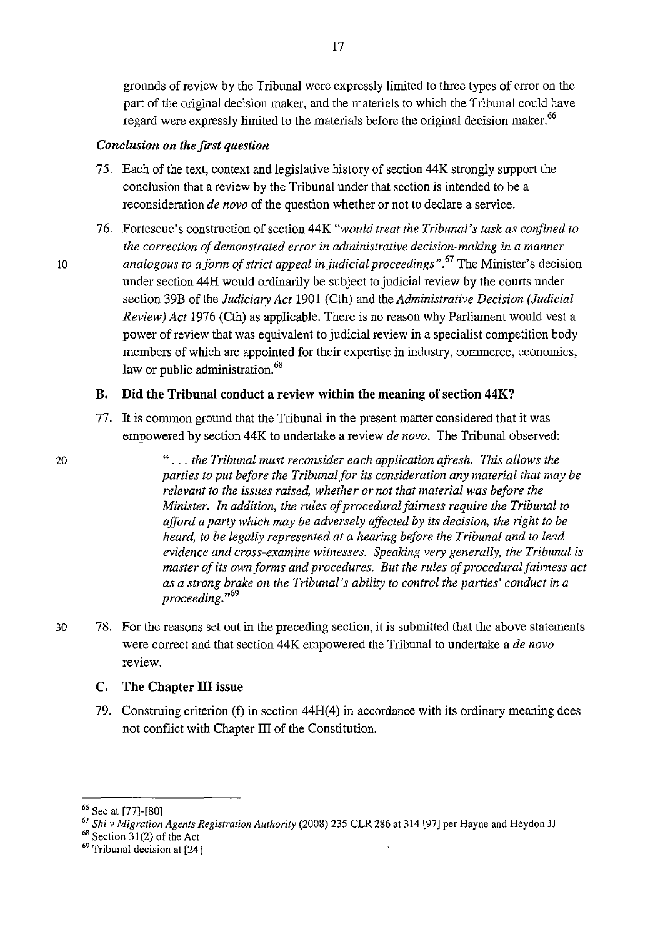grounds of review by the Tribunal were expressly limited to three types of error on the part of the original decision maker, and the materials to which the Tribunal could have regard were expressly limited to the materials before the original decision maker.<sup>66</sup>

### *Conclusion on the first question*

- 75. Each of the text, context and legislative history of section 44K strongly support the conclusion that a review by the Tribunal under that section is intended to be a reconsideration *de novo* of the question whether or not to declare a service.
- 76. Fortescue's construction of section 44K *"would treat the Tribunal's task as confined to the correction of demonstrated error in administrative decision-making in a manner*  <sup>10</sup>*analogous to a form of strict appeal in judicial proceedings".* 67 The Minister's decision under section 44H would ordinarily be subject to judicial review by the courts under section 39B of the *Judiciary Act* 1901 (Cth) and the *Administrative Decision (Judicial Review) Act* 1976 (Cth) as applicable. There is no reason why Parliament would vest a power of review that was equivalent to judicial review in a specialist competition body members of which are appointed for their expertise in industry, commerce, economics, law or public administration.<sup>68</sup>

#### B. Did the Tribunal conduct a review within the meaning of section 44K?

77. It is common ground that the Tribunal in the present matter considered that it was empowered by section 44K to undertake a review *de novo.* The Tribunal observed:

20 " ... *the Tribunal must reconsider each application afresh. This allows the parties to put before the Tribunal for its consideration any material that may be relevant to the issues raised, whether or not that material was before the Minister. In addition, the rules of procedural fairness require the Tribunal to afford a party which may be adversely affected by its decision, the right to be heard, to be legally represented at a hearing before the Tribunal and to lead evidence and cross-examine witnesses. Speaking very generally, the Tribunal is master of its own forms and procedures. But the rules of procedural fairness act as a strong brake on the Tribunal's ability to control the parties' conduct in a proceeding.* "<sup>69</sup>

30 78. For the reasons set out in the preceding section, it is submitted that the above statements were correct and that section 44K empowered the Tribunal to undertake a *de novo*  review.

## $C.$  The Chapter III issue

79. Construing criterion (f) in section 44H(4) in accordance with its ordinary meaning does not conflict with Chapter III of the Constitution.

<sup>66</sup> See at [77]-[80]

<sup>&</sup>lt;sup>67</sup> Shi v Migration Agents Registration Authority (2008) 235 CLR 286 at 314 [97] per Hayne and Heydon JJ <sup>68</sup> Section 31(2) of the Act

<sup>&</sup>lt;sup>69</sup> Tribunal decision at [24]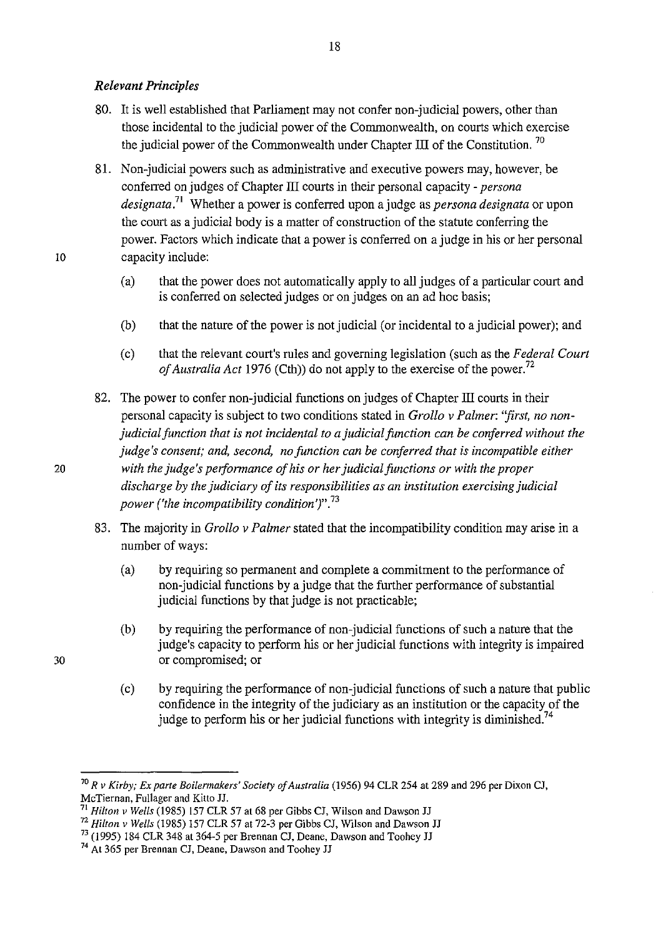### *Relevant Principles*

80. It is well established that Parliament may not confer non-judicial powers, other than those incidental to the judicial power of the Commonwealth, on courts which exercise the judicial power of the Commonwealth under Chapter III of the Constitution.<sup>70</sup>

18

- 81. Non-judicial powers such as administrative and executive powers may, however, be conferred on judges of Chapter III courts in their personal capacity *- persona designata.*<sup>71</sup>Whether a power is conferred upon a judge as *persona designata* or upon the court as a judicial body is a matter of construction of the statute conferring the power. Factors which indicate that a power is conferred on a judge in his or her personal 10 capacity include:
- 
- (a) that the power does not automatically apply to all judges of a particular court and is conferred on selected judges or on judges on an ad hoc basis;
- (b) that the nature of the power is not judicial (or incidental to a judicial power); and
- (c) that the relevant court's rules and governing legislation (such as the *Federal Court of Australia Act* 1976 (Cth)) do not apply to the exercise of the power. 72
- 82. The power to confer non-judicial functions on judges of Chapter III courts in their personal capacity is subject to two conditions stated in *Grollo v Palmer: ''first, no nonjudicial function that is not incidental to a judicial function can be conferred without the judge's consent; and, second, no function can be conferred that is incompatible either*  20 *with the judge's performance of his or her judicial functions or with the proper discharge by the judiciary of its responsibilities as an institution exercising judicial power ('the incompatibility condition')".<sup>73</sup>*
	- 83. The majority in *Grollo v Palmer* stated that the incompatibility condition may arise in a number of ways:
		- (a) by requiring so permanent and complete a commitment to the performance of non-judicial functions by a judge that the further performance of substantial judicial functions by that judge is not practicable;
		- (b) by requiring the performance of non-judicial functions of such a nature that the judge's capacity to perform his or her judicial functions with integrity is impaired or compromised; or
		- (c) by requiring the performance of non-judicial functions of such a nature that public confidence in the integrity of the judiciary as an institution or the capacity of the judge to perform his or her judicial functions with integrity is diminished.<sup>74</sup>

<sup>70</sup>*R v Kirby; Ex parte Boilennakers' Society of Australia* (!956) 94 CLR 254 at 289 and 296 per Dixon CJ, McTiernan, Fullager and Kilto JJ.

<sup>71</sup>*Hilton v Wells* (!985) 157 CLR 57 at 68 per Gibbs CJ, Wilson and Dawson JJ

<sup>72</sup>*Hilton v Wells* (!985) 157 CLR 57 at 72-3 per Gibbs CJ, Wilson and Dawson JJ

 $^{73}$  (1995) 184 CLR 348 at 364-5 per Brennan CJ, Deane, Dawson and Toohey JJ  $^{74}$  At 365 per Brennan CJ, Deane, Dawson and Toohey JJ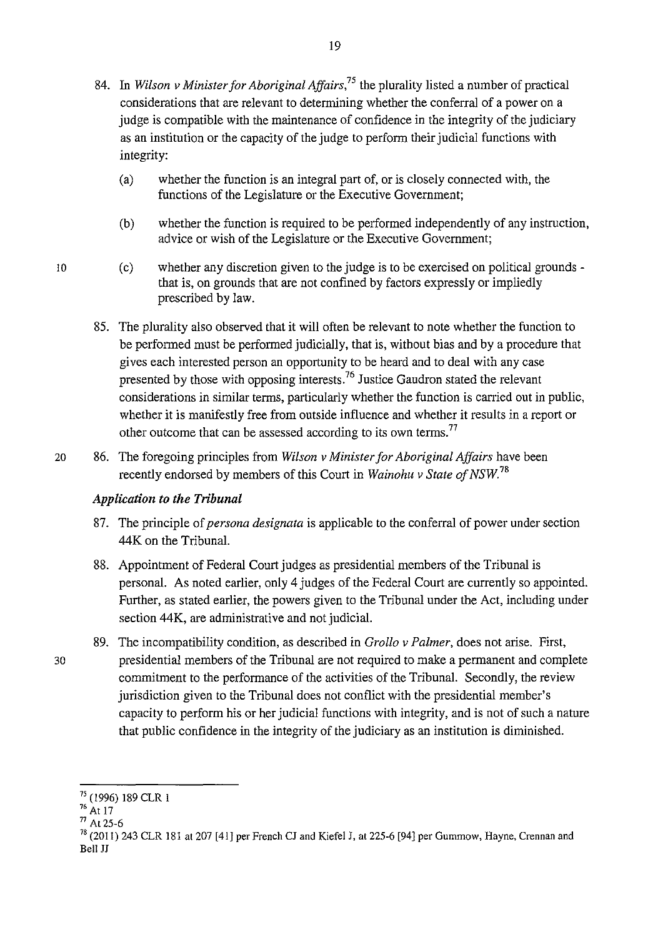- 84. In *Wilson v Minister for Aboriginal Affairs,75* the plurality listed a number of practical considerations that are relevant to determining whether the conferral of a power on a judge is compatible with the maintenance of confidence in the integrity of the judiciary as an institution or the capacity of the judge to perform their judicial functions with integrity:
	- (a) whether the function is an integral part of, or is closely connected with, the functions of the Legislature or the Executive Government;
	- (b) whether the function is required to be performed independently of any instruction, advice or wish of the Legislature or the Executive Government;
	- (c) whether any discretion given to the judge is to be exercised on political grounds that is, on grounds that are not confined by factors expressly or impliedly prescribed by law.
- 85. The plurality also observed that it will often be relevant to note whether the function to be performed must be performed judicially, that is, without bias and by a procedure that gives each interested person an opportunity to be heard and to deal with any case presented by those with opposing interests.<sup>76</sup> Justice Gaudron stated the relevant considerations in similar terms, particularly whether the function is carried out in public, whether it is manifestly free from outside influence and whether it results in a report or other outcome that can be assessed according to its own terms.<sup>77</sup>
- 20 86. The foregoing principles from *Wilson v Minister for Aboriginal Affairs* have been recently endorsed by members of this Court in *Wainohu v State of NSW.* <sup>78</sup>

## *Application to the Tribunal*

- 87. The principle of *persona designata* is applicable to the conferral of power under section 44K on the Tribunal.
- 88. Appointment of Federal Court judges as presidential members of the Tribunal is personal. As noted earlier, only 4 judges of the Federal Court are currently so appointed. Further, as stated earlier, the powers given to the Tribunal under the Act, including under section 44K, are administrative and not judicial.
- 89. The incompatibility condition, as described in *Grollo v Palmer,* does not arise. First, 30 presidential members of the Tribunal are not required to make a permanent and complete commitment to the performance of the activities of the Tribunal. Secondly, the review jurisdiction given to the Tribunal does not conflict with the presidential member's capacity to perform his or her judicial functions with integrity, and is not of such a nature that public confidence in the integrity of the judiciary as an institution is diminished.

 $\frac{75}{16}$  (1996) 189 CLR 1<br> $\frac{76}{71}$  At 25-6

 $^{78}$  (2011) 243 CLR 181 at 207 [41] per French CJ and Kiefel J, at 225-6 [94] per Gummow, Hayne, Crennan and Bell JJ